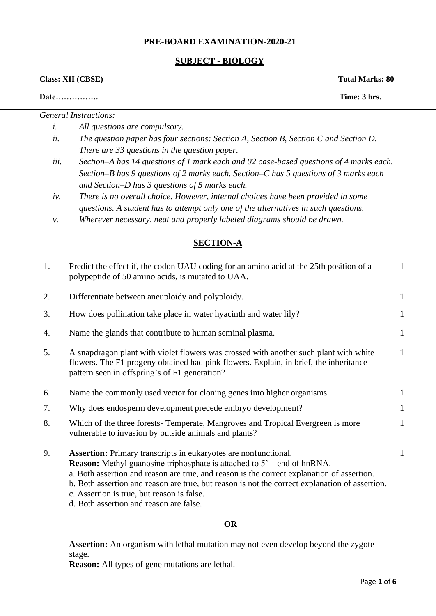### **PRE-BOARD EXAMINATION-2020-21**

#### **SUBJECT - BIOLOGY**

**Class: XII (CBSE) Total Marks: 80** 

**Date……………. Time: 3 hrs.** 

*General Instructions: i. All questions are compulsory.* 

- *ii. The question paper has four sections: Section A, Section B, Section C and Section D. There are 33 questions in the question paper.*
- *iii. Section–A has 14 questions of 1 mark each and 02 case-based questions of 4 marks each. Section–B has 9 questions of 2 marks each. Section–C has 5 questions of 3 marks each and Section–D has 3 questions of 5 marks each.*
- *iv. There is no overall choice. However, internal choices have been provided in some questions. A student has to attempt only one of the alternatives in such questions.*
- *v. Wherever necessary, neat and properly labeled diagrams should be drawn.*

## **SECTION-A**

| 1. | Predict the effect if, the codon UAU coding for an amino acid at the 25th position of a<br>polypeptide of 50 amino acids, is mutated to UAA.                                                                                                                                                                                                                                                                  | $\mathbf{1}$ |
|----|---------------------------------------------------------------------------------------------------------------------------------------------------------------------------------------------------------------------------------------------------------------------------------------------------------------------------------------------------------------------------------------------------------------|--------------|
| 2. | Differentiate between aneuploidy and polyploidy.                                                                                                                                                                                                                                                                                                                                                              | $\mathbf{1}$ |
| 3. | How does pollination take place in water hyacinth and water lily?                                                                                                                                                                                                                                                                                                                                             | $\mathbf{1}$ |
| 4. | Name the glands that contribute to human seminal plasma.                                                                                                                                                                                                                                                                                                                                                      | $\mathbf{1}$ |
| 5. | A snapdragon plant with violet flowers was crossed with another such plant with white<br>flowers. The F1 progeny obtained had pink flowers. Explain, in brief, the inheritance<br>pattern seen in offspring's of F1 generation?                                                                                                                                                                               | $\mathbf{1}$ |
| 6. | Name the commonly used vector for cloning genes into higher organisms.                                                                                                                                                                                                                                                                                                                                        | $\mathbf{1}$ |
| 7. | Why does endosperm development precede embryo development?                                                                                                                                                                                                                                                                                                                                                    | $\mathbf{1}$ |
| 8. | Which of the three forests-Temperate, Mangroves and Tropical Evergreen is more<br>vulnerable to invasion by outside animals and plants?                                                                                                                                                                                                                                                                       | $\mathbf{1}$ |
| 9. | <b>Assertion:</b> Primary transcripts in eukaryotes are nonfunctional.<br><b>Reason:</b> Methyl guanosine triphosphate is attached to $5^\circ$ – end of hnRNA.<br>a. Both assertion and reason are true, and reason is the correct explanation of assertion.<br>b. Both assertion and reason are true, but reason is not the correct explanation of assertion.<br>c. Assertion is true, but reason is false. | 1            |

d. Both assertion and reason are false.

#### **OR**

**Assertion:** An organism with lethal mutation may not even develop beyond the zygote stage.

**Reason:** All types of gene mutations are lethal.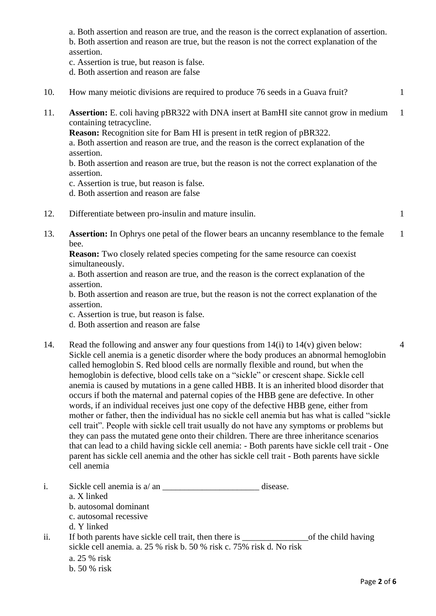a. Both assertion and reason are true, and the reason is the correct explanation of assertion. b. Both assertion and reason are true, but the reason is not the correct explanation of the assertion.

c. Assertion is true, but reason is false.

d. Both assertion and reason are false

10. How many meiotic divisions are required to produce 76 seeds in a Guava fruit? 1 11. **Assertion:** E. coli having pBR322 with DNA insert at BamHI site cannot grow in medium containing tetracycline. 1

**Reason:** Recognition site for Bam HI is present in tetR region of pBR322.

a. Both assertion and reason are true, and the reason is the correct explanation of the assertion.

b. Both assertion and reason are true, but the reason is not the correct explanation of the assertion.

c. Assertion is true, but reason is false.

d. Both assertion and reason are false

- 12. Differentiate between pro-insulin and mature insulin. 1
- 13. **Assertion:** In Ophrys one petal of the flower bears an uncanny resemblance to the female bee. 1

**Reason:** Two closely related species competing for the same resource can coexist simultaneously.

a. Both assertion and reason are true, and the reason is the correct explanation of the assertion.

b. Both assertion and reason are true, but the reason is not the correct explanation of the assertion.

c. Assertion is true, but reason is false.

d. Both assertion and reason are false

- 14. Read the following and answer any four questions from 14(i) to 14(v) given below: Sickle cell anemia is a genetic disorder where the body produces an abnormal hemoglobin called hemoglobin S. Red blood cells are normally flexible and round, but when the hemoglobin is defective, blood cells take on a "sickle" or crescent shape. Sickle cell anemia is caused by mutations in a gene called HBB. It is an inherited blood disorder that occurs if both the maternal and paternal copies of the HBB gene are defective. In other words, if an individual receives just one copy of the defective HBB gene, either from mother or father, then the individual has no sickle cell anemia but has what is called "sickle cell trait". People with sickle cell trait usually do not have any symptoms or problems but they can pass the mutated gene onto their children. There are three inheritance scenarios that can lead to a child having sickle cell anemia: - Both parents have sickle cell trait - One parent has sickle cell anemia and the other has sickle cell trait - Both parents have sickle cell anemia
- i. Sickle cell anemia is a/ an \_\_\_\_\_\_\_\_\_\_\_\_\_\_\_\_\_\_\_\_\_\_ disease. a. X linked b. autosomal dominant c. autosomal recessive d. Y linked ii. If both parents have sickle cell trait, then there is \_\_\_\_\_\_\_\_\_\_\_\_\_\_\_of the child having sickle cell anemia. a. 25 % risk b. 50 % risk c. 75% risk d. No risk a. 25 % risk

4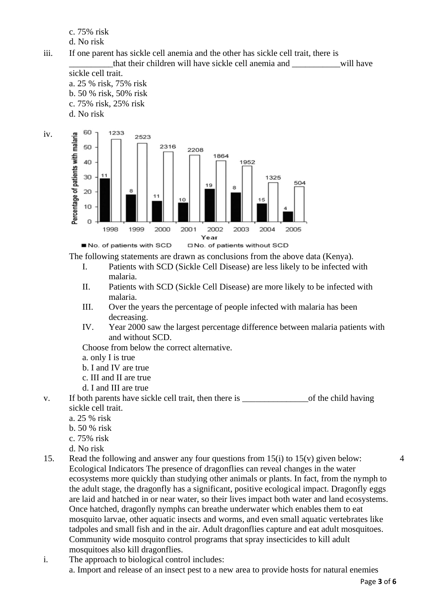c. 75% risk

d. No risk

- iii. If one parent has sickle cell anemia and the other has sickle cell trait, there is \_\_\_\_\_\_\_\_\_\_that their children will have sickle cell anemia and \_\_\_\_\_\_\_\_\_\_\_will have
	- sickle cell trait. a. 25 % risk, 75% risk b. 50 % risk, 50% risk c. 75% risk, 25% risk d. No risk



The following statements are drawn as conclusions from the above data (Kenya).

- I. Patients with SCD (Sickle Cell Disease) are less likely to be infected with malaria.
- II. Patients with SCD (Sickle Cell Disease) are more likely to be infected with malaria.
- III. Over the years the percentage of people infected with malaria has been decreasing.
- IV. Year 2000 saw the largest percentage difference between malaria patients with and without SCD.

Choose from below the correct alternative.

- a. only I is true
- b. I and IV are true
- c. III and II are true
- d. I and III are true
- v. If both parents have sickle cell trait, then there is of the child having sickle cell trait.
	- a. 25 % risk
	- b. 50 % risk
	- c. 75% risk
	- d. No risk
- 15. Read the following and answer any four questions from 15(i) to 15(v) given below: Ecological Indicators The presence of dragonflies can reveal changes in the water ecosystems more quickly than studying other animals or plants. In fact, from the nymph to the adult stage, the dragonfly has a significant, positive ecological impact. Dragonfly eggs are laid and hatched in or near water, so their lives impact both water and land ecosystems. Once hatched, dragonfly nymphs can breathe underwater which enables them to eat mosquito larvae, other aquatic insects and worms, and even small aquatic vertebrates like tadpoles and small fish and in the air. Adult dragonflies capture and eat adult mosquitoes. Community wide mosquito control programs that spray insecticides to kill adult mosquitoes also kill dragonflies.
- i. The approach to biological control includes: a. Import and release of an insect pest to a new area to provide hosts for natural enemies

4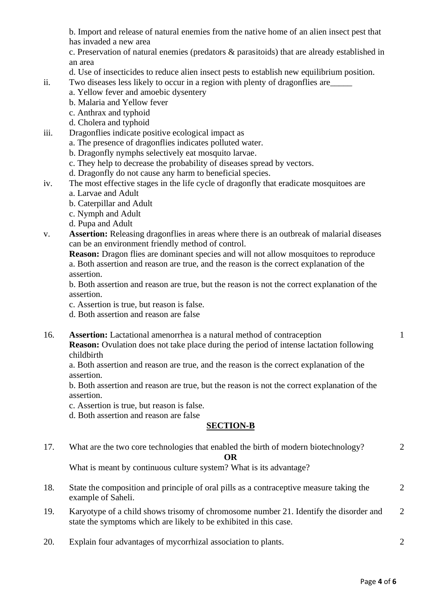b. Import and release of natural enemies from the native home of an alien insect pest that has invaded a new area

c. Preservation of natural enemies (predators & parasitoids) that are already established in an area

- d. Use of insecticides to reduce alien insect pests to establish new equilibrium position.
- ii. Two diseases less likely to occur in a region with plenty of dragonflies are\_\_\_\_\_
	- a. Yellow fever and amoebic dysentery
	- b. Malaria and Yellow fever
	- c. Anthrax and typhoid
	- d. Cholera and typhoid
- iii. Dragonflies indicate positive ecological impact as
	- a. The presence of dragonflies indicates polluted water.
	- b. Dragonfly nymphs selectively eat mosquito larvae.
	- c. They help to decrease the probability of diseases spread by vectors.
	- d. Dragonfly do not cause any harm to beneficial species.
- iv. The most effective stages in the life cycle of dragonfly that eradicate mosquitoes are
	- a. Larvae and Adult
	- b. Caterpillar and Adult
	- c. Nymph and Adult
	- d. Pupa and Adult
- v. **Assertion:** Releasing dragonflies in areas where there is an outbreak of malarial diseases can be an environment friendly method of control.
	- **Reason:** Dragon flies are dominant species and will not allow mosquitoes to reproduce a. Both assertion and reason are true, and the reason is the correct explanation of the assertion.

b. Both assertion and reason are true, but the reason is not the correct explanation of the assertion.

- c. Assertion is true, but reason is false.
- d. Both assertion and reason are false
- 16. **Assertion:** Lactational amenorrhea is a natural method of contraception

**Reason:** Ovulation does not take place during the period of intense lactation following childbirth

a. Both assertion and reason are true, and the reason is the correct explanation of the assertion.

b. Both assertion and reason are true, but the reason is not the correct explanation of the assertion.

c. Assertion is true, but reason is false.

d. Both assertion and reason are false

#### **SECTION-B**

| 17. | What are the two core technologies that enabled the birth of modern biotechnology?                                                                         |                             |  |  |  |
|-----|------------------------------------------------------------------------------------------------------------------------------------------------------------|-----------------------------|--|--|--|
|     | OR                                                                                                                                                         |                             |  |  |  |
|     | What is meant by continuous culture system? What is its advantage?                                                                                         |                             |  |  |  |
| 18. | State the composition and principle of oral pills as a contraceptive measure taking the<br>example of Saheli.                                              | $\mathcal{D}_{\cdot}$       |  |  |  |
| 19. | Karyotype of a child shows trisomy of chromosome number 21. Identify the disorder and<br>state the symptoms which are likely to be exhibited in this case. | $\mathcal{D}_{\mathcal{L}}$ |  |  |  |
| 20. | Explain four advantages of mycorrhizal association to plants.                                                                                              | $\mathcal{D}_{\mathcal{L}}$ |  |  |  |

1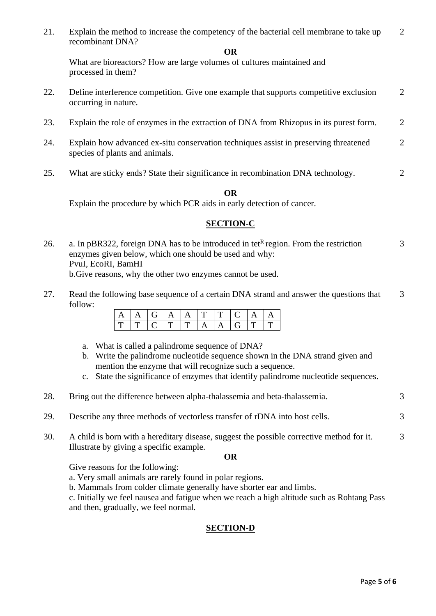21. Explain the method to increase the competency of the bacterial cell membrane to take up recombinant DNA? 2

#### **OR**

What are bioreactors? How are large volumes of cultures maintained and processed in them?

- 22. Define interference competition. Give one example that supports competitive exclusion occurring in nature. 2
- 23. Explain the role of enzymes in the extraction of DNA from Rhizopus in its purest form. 2
- 24. Explain how advanced ex-situ conservation techniques assist in preserving threatened species of plants and animals. 2
- 25. What are sticky ends? State their significance in recombination DNA technology.

#### **OR**

Explain the procedure by which PCR aids in early detection of cancer.

### **SECTION-C**

- 26. a. In pBR322, foreign DNA has to be introduced in tet<sup>R</sup> region. From the restriction enzymes given below, which one should be used and why: PvuI, EcoRI, BamHI b.Give reasons, why the other two enzymes cannot be used. 3
- 27. Read the following base sequence of a certain DNA strand and answer the questions that follow: 3

|  |  |     | 1 T 1 T |  |  |
|--|--|-----|---------|--|--|
|  |  | F F |         |  |  |

- a. What is called a palindrome sequence of DNA?
- b. Write the palindrome nucleotide sequence shown in the DNA strand given and mention the enzyme that will recognize such a sequence.
- c. State the significance of enzymes that identify palindrome nucleotide sequences.

| 28. | Bring out the difference between alpha-thalassemia and beta-thalassemia.                  |   |
|-----|-------------------------------------------------------------------------------------------|---|
| 29. | Describe any three methods of vectorless transfer of rDNA into host cells.                | 3 |
| 30. | A child is born with a hereditary disease, suggest the possible corrective method for it. | 3 |

**OR**

Give reasons for the following:

Illustrate by giving a specific example.

- a. Very small animals are rarely found in polar regions.
- b. Mammals from colder climate generally have shorter ear and limbs.

c. Initially we feel nausea and fatigue when we reach a high altitude such as Rohtang Pass and then, gradually, we feel normal.

## **SECTION-D**

 $\mathcal{L}$